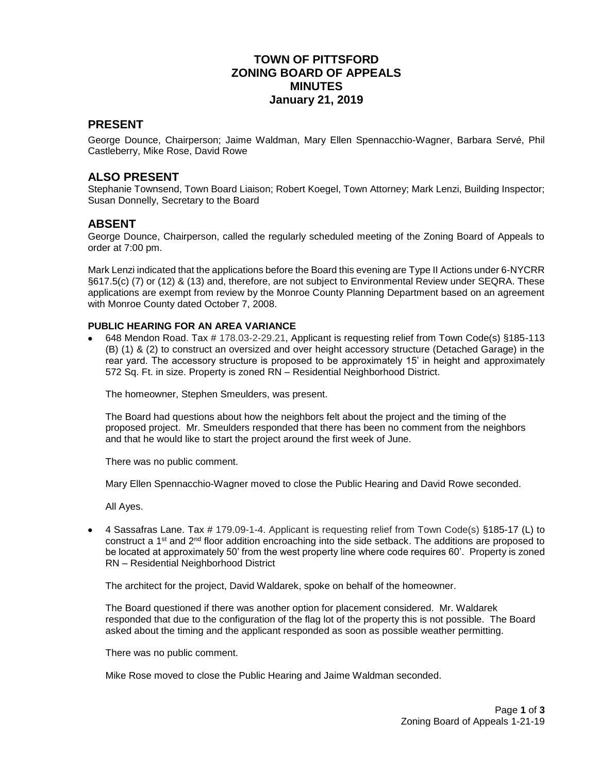## **TOWN OF PITTSFORD ZONING BOARD OF APPEALS MINUTES January 21, 2019**

#### **PRESENT**

George Dounce, Chairperson; Jaime Waldman, Mary Ellen Spennacchio-Wagner, Barbara Servé, Phil Castleberry, Mike Rose, David Rowe

#### **ALSO PRESENT**

Stephanie Townsend, Town Board Liaison; Robert Koegel, Town Attorney; Mark Lenzi, Building Inspector; Susan Donnelly, Secretary to the Board

#### **ABSENT**

George Dounce, Chairperson, called the regularly scheduled meeting of the Zoning Board of Appeals to order at 7:00 pm.

Mark Lenzi indicated that the applications before the Board this evening are Type II Actions under 6-NYCRR §617.5(c) (7) or (12) & (13) and, therefore, are not subject to Environmental Review under SEQRA. These applications are exempt from review by the Monroe County Planning Department based on an agreement with Monroe County dated October 7, 2008.

#### **PUBLIC HEARING FOR AN AREA VARIANCE**

 648 Mendon Road. Tax # 178.03-2-29.21, Applicant is requesting relief from Town Code(s) §185-113 (B) (1) & (2) to construct an oversized and over height accessory structure (Detached Garage) in the rear yard. The accessory structure is proposed to be approximately 15' in height and approximately 572 Sq. Ft. in size. Property is zoned RN – Residential Neighborhood District.

The homeowner, Stephen Smeulders, was present.

The Board had questions about how the neighbors felt about the project and the timing of the proposed project. Mr. Smeulders responded that there has been no comment from the neighbors and that he would like to start the project around the first week of June.

There was no public comment.

Mary Ellen Spennacchio-Wagner moved to close the Public Hearing and David Rowe seconded.

All Ayes.

 $\bullet$  4 Sassafras Lane. Tax # 179.09-1-4. Applicant is requesting relief from Town Code(s) §185-17 (L) to construct a 1st and 2nd floor addition encroaching into the side setback. The additions are proposed to be located at approximately 50' from the west property line where code requires 60'. Property is zoned RN – Residential Neighborhood District

The architect for the project, David Waldarek, spoke on behalf of the homeowner.

The Board questioned if there was another option for placement considered. Mr. Waldarek responded that due to the configuration of the flag lot of the property this is not possible. The Board asked about the timing and the applicant responded as soon as possible weather permitting.

There was no public comment.

Mike Rose moved to close the Public Hearing and Jaime Waldman seconded.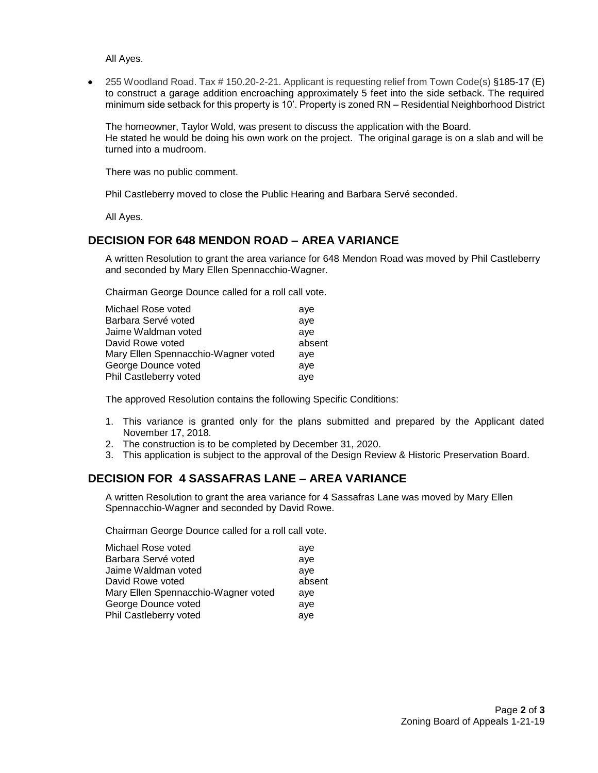All Ayes.

 255 Woodland Road. Tax # 150.20-2-21. Applicant is requesting relief from Town Code(s) §185-17 (E) to construct a garage addition encroaching approximately 5 feet into the side setback. The required minimum side setback for this property is 10'. Property is zoned RN – Residential Neighborhood District

The homeowner, Taylor Wold, was present to discuss the application with the Board. He stated he would be doing his own work on the project. The original garage is on a slab and will be turned into a mudroom.

There was no public comment.

Phil Castleberry moved to close the Public Hearing and Barbara Servé seconded.

All Ayes.

### **DECISION FOR 648 MENDON ROAD – AREA VARIANCE**

A written Resolution to grant the area variance for 648 Mendon Road was moved by Phil Castleberry and seconded by Mary Ellen Spennacchio-Wagner.

Chairman George Dounce called for a roll call vote.

| Michael Rose voted                  | aye    |
|-------------------------------------|--------|
| Barbara Servé voted                 | ave    |
| Jaime Waldman voted                 | ave    |
| David Rowe voted                    | absent |
| Mary Ellen Spennacchio-Wagner voted | ave    |
| George Dounce voted                 | ave    |
| Phil Castleberry voted              | aye    |

The approved Resolution contains the following Specific Conditions:

- 1. This variance is granted only for the plans submitted and prepared by the Applicant dated November 17, 2018.
- 2. The construction is to be completed by December 31, 2020.
- 3. This application is subject to the approval of the Design Review & Historic Preservation Board.

## **DECISION FOR 4 SASSAFRAS LANE – AREA VARIANCE**

A written Resolution to grant the area variance for 4 Sassafras Lane was moved by Mary Ellen Spennacchio-Wagner and seconded by David Rowe.

Chairman George Dounce called for a roll call vote.

| Michael Rose voted                  | aye    |
|-------------------------------------|--------|
| Barbara Servé voted                 | ave    |
| Jaime Waldman voted                 | ave    |
| David Rowe voted                    | absent |
| Mary Ellen Spennacchio-Wagner voted | ave    |
| George Dounce voted                 | aye    |
| Phil Castleberry voted              | aye    |